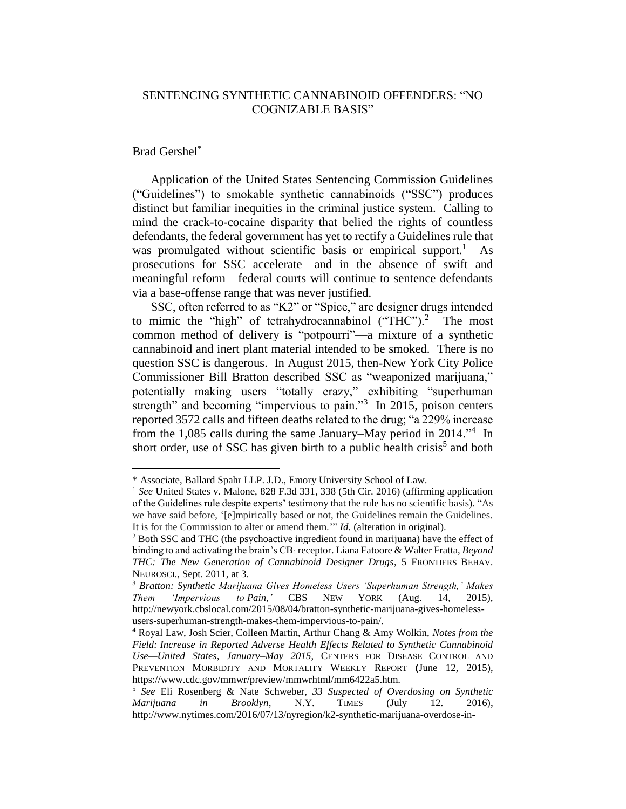## SENTENCING SYNTHETIC CANNABINOID OFFENDERS: "NO COGNIZABLE BASIS"

## Brad Gershel\*

<span id="page-0-0"></span> $\overline{a}$ 

Application of the United States Sentencing Commission Guidelines ("Guidelines") to smokable synthetic cannabinoids ("SSC") produces distinct but familiar inequities in the criminal justice system. Calling to mind the crack-to-cocaine disparity that belied the rights of countless defendants, the federal government has yet to rectify a Guidelines rule that was promulgated without scientific basis or empirical support.<sup>1</sup> As prosecutions for SSC accelerate—and in the absence of swift and meaningful reform—federal courts will continue to sentence defendants via a base-offense range that was never justified.

SSC, often referred to as "K2" or "Spice," are designer drugs intended to mimic the "high" of tetrahydrocannabinol ("THC").<sup>2</sup> The most common method of delivery is "potpourri"—a mixture of a synthetic cannabinoid and inert plant material intended to be smoked. There is no question SSC is dangerous. In August 2015, then-New York City Police Commissioner Bill Bratton described SSC as "weaponized marijuana," potentially making users "totally crazy," exhibiting "superhuman strength" and becoming "impervious to pain."<sup>3</sup> In 2015, poison centers reported 3572 calls and fifteen deaths related to the drug; "a 229% increase from the 1,085 calls during the same January–May period in 2014.<sup>54</sup> In short order, use of SSC has given birth to a public health crisis<sup>5</sup> and both

<sup>\*</sup> Associate, Ballard Spahr LLP. J.D., Emory University School of Law.

<sup>1</sup> *See* United States v. Malone, 828 F.3d 331, 338 (5th Cir. 2016) (affirming application of the Guidelines rule despite experts' testimony that the rule has no scientific basis). "As we have said before, '[e]mpirically based or not, the Guidelines remain the Guidelines. It is for the Commission to alter or amend them.'" *Id.* (alteration in original).

<sup>2</sup> Both SSC and THC (the psychoactive ingredient found in marijuana) have the effect of binding to and activating the brain's CB1 receptor. Liana Fatoore & Walter Fratta, *Beyond THC: The New Generation of Cannabinoid Designer Drugs*, 5 FRONTIERS BEHAV. NEUROSCI., Sept. 2011, at 3.

<sup>3</sup> *Bratton: Synthetic Marijuana Gives Homeless Users 'Superhuman Strength,' Makes Them 'Impervious to Pain*,*'* CBS NEW YORK (Aug. 14, 2015), http://newyork.cbslocal.com/2015/08/04/bratton-synthetic-marijuana-gives-homelessusers-superhuman-strength-makes-them-impervious-to-pain/.

<sup>4</sup> Royal Law, Josh Scier, Colleen Martin, Arthur Chang & Amy Wolkin, *Notes from the Field: Increase in Reported Adverse Health Effects Related to Synthetic Cannabinoid Use—United States, January–May 2015*, CENTERS FOR DISEASE CONTROL AND PREVENTION MORBIDITY AND MORTALITY WEEKLY REPORT **(**June 12, 2015), https://www.cdc.gov/mmwr/preview/mmwrhtml/mm6422a5.htm.

<sup>5</sup> *See* Eli Rosenberg & Nate Schweber, *33 Suspected of Overdosing on Synthetic Marijuana in Brooklyn*, N.Y. TIMES (July 12. 2016), http://www.nytimes.com/2016/07/13/nyregion/k2-synthetic-marijuana-overdose-in-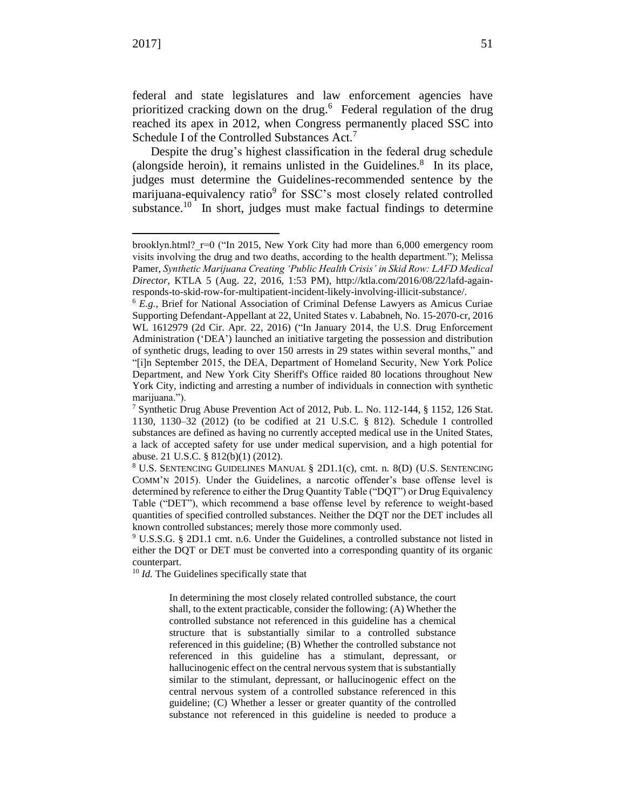$\overline{a}$ 

federal and state legislatures and law enforcement agencies have prioritized cracking down on the drug.<sup>6</sup> Federal regulation of the drug reached its apex in 2012, when Congress permanently placed SSC into Schedule I of the Controlled Substances Act.<sup>7</sup>

<span id="page-1-0"></span>Despite the drug's highest classification in the federal drug schedule (alongside heroin), it remains unlisted in the Guidelines. $8$  In its place, judges must determine the Guidelines-recommended sentence by the marijuana-equivalency ratio<sup>9</sup> for SSC's most closely related controlled substance.<sup>10</sup> In short, judges must make factual findings to determine

<sup>10</sup> *Id.* The Guidelines specifically state that

In determining the most closely related controlled substance, the court shall, to the extent practicable, consider the following: (A) Whether the controlled substance not referenced in this guideline has a chemical structure that is substantially similar to a controlled substance referenced in this guideline; (B) Whether the controlled substance not referenced in this guideline has a stimulant, depressant, or hallucinogenic effect on the central nervous system that is substantially similar to the stimulant, depressant, or hallucinogenic effect on the central nervous system of a controlled substance referenced in this guideline; (C) Whether a lesser or greater quantity of the controlled substance not referenced in this guideline is needed to produce a

brooklyn.html?  $r=0$  ("In 2015, New York City had more than 6,000 emergency room visits involving the drug and two deaths, according to the health department."); Melissa Pamer, *Synthetic Marijuana Creating 'Public Health Crisis' in Skid Row: LAFD Medical Director*, KTLA 5 (Aug. 22, 2016, 1:53 PM), http://ktla.com/2016/08/22/lafd-againresponds-to-skid-row-for-multipatient-incident-likely-involving-illicit-substance/.

<sup>6</sup> *E.g.*, Brief for National Association of Criminal Defense Lawyers as Amicus Curiae Supporting Defendant-Appellant at 22, United States v. Lababneh, No. 15-2070-cr, 2016 WL 1612979 (2d Cir. Apr. 22, 2016) ("In January 2014, the U.S. Drug Enforcement Administration ('DEA') launched an initiative targeting the possession and distribution of synthetic drugs, leading to over 150 arrests in 29 states within several months," and "[i]n September 2015, the DEA, Department of Homeland Security, New York Police Department, and New York City Sheriff's Office raided 80 locations throughout New York City, indicting and arresting a number of individuals in connection with synthetic marijuana.").

<sup>7</sup> Synthetic Drug Abuse Prevention Act of 2012, Pub. L. No. 112-144, § 1152, 126 Stat. 1130, 1130–32 (2012) (to be codified at 21 U.S.C. § 812). Schedule I controlled substances are defined as having no currently accepted medical use in the United States, a lack of accepted safety for use under medical supervision, and a high potential for abuse. 21 U.S.C. § 812(b)(1) (2012).

<sup>8</sup> U.S. SENTENCING GUIDELINES MANUAL § 2D1.1(c), cmt. n. 8(D) (U.S. SENTENCING COMM'N 2015). Under the Guidelines, a narcotic offender's base offense level is determined by reference to either the Drug Quantity Table ("DQT") or Drug Equivalency Table ("DET"), which recommend a base offense level by reference to weight-based quantities of specified controlled substances. Neither the DQT nor the DET includes all known controlled substances; merely those more commonly used.

<sup>9</sup> U.S.S.G. § 2D1.1 cmt. n.6. Under the Guidelines, a controlled substance not listed in either the DQT or DET must be converted into a corresponding quantity of its organic counterpart.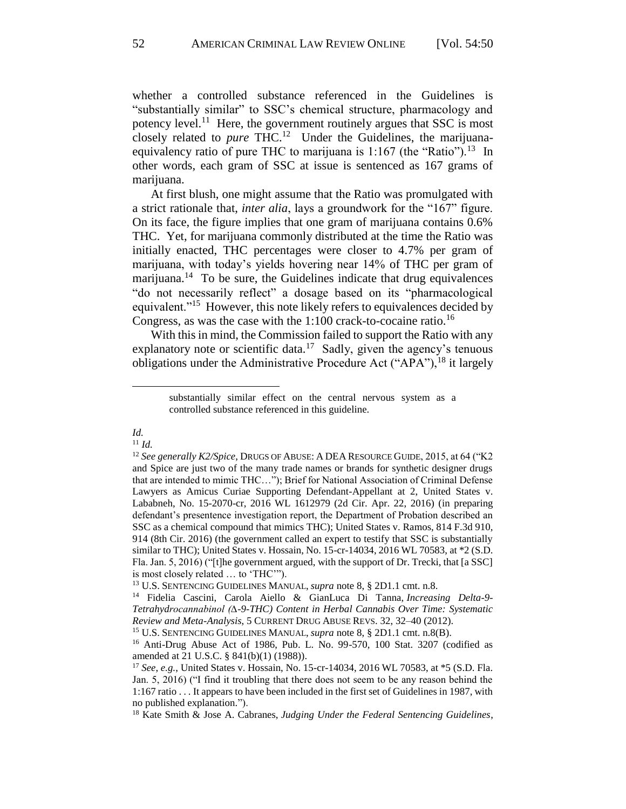whether a controlled substance referenced in the Guidelines is "substantially similar" to SSC's chemical structure, pharmacology and potency level.<sup>11</sup> Here, the government routinely argues that SSC is most closely related to *pure* THC. 12 Under the Guidelines, the marijuanaequivalency ratio of pure THC to marijuana is  $1:167$  (the "Ratio").<sup>13</sup> In other words, each gram of SSC at issue is sentenced as 167 grams of marijuana.

At first blush, one might assume that the Ratio was promulgated with a strict rationale that, *inter alia*, lays a groundwork for the "167" figure. On its face, the figure implies that one gram of marijuana contains 0.6% THC. Yet, for marijuana commonly distributed at the time the Ratio was initially enacted, THC percentages were closer to 4.7% per gram of marijuana, with today's yields hovering near 14% of THC per gram of marijuana.<sup>14</sup> To be sure, the Guidelines indicate that drug equivalences "do not necessarily reflect" a dosage based on its "pharmacological equivalent."<sup>15</sup> However, this note likely refers to equivalences decided by Congress, as was the case with the 1:100 crack-to-cocaine ratio.<sup>16</sup>

With this in mind, the Commission failed to support the Ratio with any explanatory note or scientific data.<sup>17</sup> Sadly, given the agency's tenuous obligations under the Administrative Procedure Act ("APA"), <sup>18</sup> it largely

## *Id.* <sup>11</sup> *Id.*

 $\ddot{\phantom{a}}$ 

<span id="page-2-0"></span>substantially similar effect on the central nervous system as a controlled substance referenced in this guideline.

<sup>12</sup> *See generally K2/Spice*, DRUGS OF ABUSE: A DEA RESOURCE GUIDE, 2015, at 64 ("K2 and Spice are just two of the many trade names or brands for synthetic designer drugs that are intended to mimic THC…"); Brief for National Association of Criminal Defense Lawyers as Amicus Curiae Supporting Defendant-Appellant at 2, United States v. Lababneh, No. 15-2070-cr, 2016 WL 1612979 (2d Cir. Apr. 22, 2016) (in preparing defendant's presentence investigation report, the Department of Probation described an SSC as a chemical compound that mimics THC); United States v. Ramos, 814 F.3d 910, 914 (8th Cir. 2016) (the government called an expert to testify that SSC is substantially similar to THC); United States v. Hossain, No. 15-cr-14034, 2016 WL 70583, at \*2 (S.D. Fla. Jan. 5, 2016) ("[t]he government argued, with the support of Dr. Trecki, that [a SSC] is most closely related … to 'THC'").

<sup>13</sup> U.S. SENTENCING GUIDELINES MANUAL, *supra* note 8, § 2D1.1 cmt. n.8.

<sup>14</sup> Fidelia Cascini, Carola Aiello & GianLuca Di Tanna, *Increasing Delta-9- Tetrahydrocannabinol (∆-9-THC) Content in Herbal Cannabis Over Time: Systematic Review and Meta-Analysis*, 5 CURRENT DRUG ABUSE REVS. 32, 32–40 (2012).

<sup>15</sup> U.S. SENTENCING GUIDELINES MANUAL, *supra* note [8,](#page-1-0) § 2D1.1 cmt. n.8(B).

<sup>&</sup>lt;sup>16</sup> Anti-Drug Abuse Act of 1986, Pub. L. No. 99-570, 100 Stat. 3207 (codified as amended at 21 U.S.C. § 841(b)(1) (1988)).

<sup>17</sup> *See*, *e.g.*, United States v. Hossain, No. 15-cr-14034, 2016 WL 70583, at \*5 (S.D. Fla. Jan. 5, 2016) ("I find it troubling that there does not seem to be any reason behind the 1:167 ratio . . . It appears to have been included in the first set of Guidelines in 1987, with no published explanation.").

<sup>18</sup> Kate Smith & Jose A. Cabranes, *Judging Under the Federal Sentencing Guidelines*,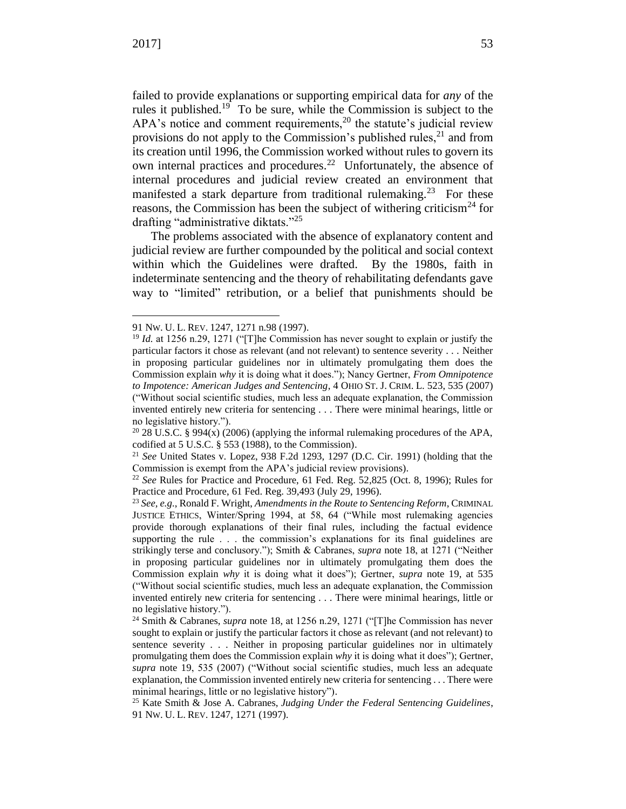$\ddot{\phantom{a}}$ 

<span id="page-3-0"></span>failed to provide explanations or supporting empirical data for *any* of the rules it published.<sup>19</sup> To be sure, while the Commission is subject to the APA's notice and comment requirements,<sup>20</sup> the statute's judicial review provisions do not apply to the Commission's published rules,  $2<sup>1</sup>$  and from its creation until 1996, the Commission worked without rules to govern its own internal practices and procedures.<sup>22</sup> Unfortunately, the absence of internal procedures and judicial review created an environment that manifested a stark departure from traditional rulemaking.<sup>23</sup> For these reasons, the Commission has been the subject of withering criticism<sup>24</sup> for drafting "administrative diktats."<sup>25</sup>

The problems associated with the absence of explanatory content and judicial review are further compounded by the political and social context within which the Guidelines were drafted. By the 1980s, faith in indeterminate sentencing and the theory of rehabilitating defendants gave way to "limited" retribution, or a belief that punishments should be

<sup>91</sup> NW. U. L. REV. 1247, 1271 n.98 (1997).

<sup>&</sup>lt;sup>19</sup> *Id.* at 1256 n.29, 1271 ("The Commission has never sought to explain or justify the particular factors it chose as relevant (and not relevant) to sentence severity . . . Neither in proposing particular guidelines nor in ultimately promulgating them does the Commission explain *why* it is doing what it does."); Nancy Gertner, *From Omnipotence to Impotence: American Judges and Sentencing*, 4 OHIO ST. J. CRIM. L. 523, 535 (2007) ("Without social scientific studies, much less an adequate explanation, the Commission invented entirely new criteria for sentencing . . . There were minimal hearings, little or no legislative history.").

<sup>&</sup>lt;sup>20</sup> 28 U.S.C. § 994(x) (2006) (applying the informal rulemaking procedures of the APA, codified at 5 U.S.C. § 553 (1988), to the Commission).

<sup>21</sup> *See* United States v. Lopez, 938 F.2d 1293, 1297 (D.C. Cir. 1991) (holding that the Commission is exempt from the APA's judicial review provisions).

<sup>22</sup> *See* Rules for Practice and Procedure, 61 Fed. Reg. 52,825 (Oct. 8, 1996); Rules for Practice and Procedure, 61 Fed. Reg. 39,493 (July 29, 1996).

<sup>23</sup> *See, e.g.*, Ronald F. Wright, *Amendments in the Route to Sentencing Reform*, CRIMINAL JUSTICE ETHICS, Winter/Spring 1994, at 58, 64 ("While most rulemaking agencies provide thorough explanations of their final rules, including the factual evidence supporting the rule . . . the commission's explanations for its final guidelines are strikingly terse and conclusory."); Smith & Cabranes, *supra* note [18,](#page-2-0) at 1271 ("Neither in proposing particular guidelines nor in ultimately promulgating them does the Commission explain *why* it is doing what it does"); Gertner, *supra* note [19,](#page-3-0) at 535 ("Without social scientific studies, much less an adequate explanation, the Commission invented entirely new criteria for sentencing . . . There were minimal hearings, little or no legislative history.").

<sup>24</sup> Smith & Cabranes, *supra* note [18,](#page-2-0) at 1256 n.29, 1271 ("[T]he Commission has never sought to explain or justify the particular factors it chose as relevant (and not relevant) to sentence severity . . . Neither in proposing particular guidelines nor in ultimately promulgating them does the Commission explain *why* it is doing what it does"); Gertner, *supra* note [19,](#page-3-0) 535 (2007) ("Without social scientific studies, much less an adequate explanation, the Commission invented entirely new criteria for sentencing . . . There were minimal hearings, little or no legislative history").

<sup>25</sup> Kate Smith & Jose A. Cabranes, *Judging Under the Federal Sentencing Guidelines*, 91 NW. U. L. REV. 1247, 1271 (1997).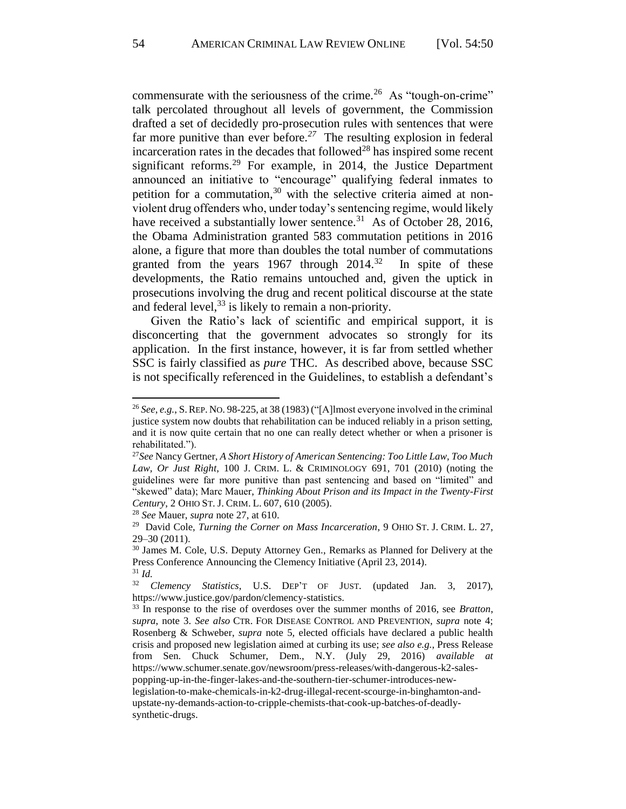commensurate with the seriousness of the crime.<sup>26</sup> As "tough-on-crime" talk percolated throughout all levels of government, the Commission drafted a set of decidedly pro-prosecution rules with sentences that were far more punitive than ever before.*<sup>27</sup>* The resulting explosion in federal incarceration rates in the decades that followed<sup>28</sup> has inspired some recent significant reforms.<sup>29</sup> For example, in 2014, the Justice Department announced an initiative to "encourage" qualifying federal inmates to petition for a commutation,<sup>30</sup> with the selective criteria aimed at nonviolent drug offenders who, under today's sentencing regime, would likely have received a substantially lower sentence.<sup>31</sup> As of October 28, 2016, the Obama Administration granted 583 commutation petitions in 2016 alone, a figure that more than doubles the total number of commutations granted from the years  $1967$  through  $2014.<sup>32</sup>$  In spite of these developments, the Ratio remains untouched and, given the uptick in prosecutions involving the drug and recent political discourse at the state and federal level,  $33$  is likely to remain a non-priority.

Given the Ratio's lack of scientific and empirical support, it is disconcerting that the government advocates so strongly for its application. In the first instance, however, it is far from settled whether SSC is fairly classified as *pure* THC. As described above, because SSC is not specifically referenced in the Guidelines, to establish a defendant's

 $\overline{a}$ 

<sup>26</sup> *See*, *e.g.*, S.REP. NO. 98-225, at 38 (1983) ("[A]lmost everyone involved in the criminal justice system now doubts that rehabilitation can be induced reliably in a prison setting, and it is now quite certain that no one can really detect whether or when a prisoner is rehabilitated.").

<sup>27</sup>*See* Nancy Gertner, *A Short History of American Sentencing: Too Little Law, Too Much Law, Or Just Right*, 100 J. CRIM. L. & CRIMINOLOGY 691, 701 (2010) (noting the guidelines were far more punitive than past sentencing and based on "limited" and "skewed" data); Marc Mauer, *Thinking About Prison and its Impact in the Twenty-First Century*, 2 OHIO ST. J. CRIM. L. 607, 610 (2005).

<sup>28</sup> *See* Mauer, *supra* note 27, at 610.

<sup>&</sup>lt;sup>29</sup> David Cole, *Turning the Corner on Mass Incarceration*, 9 OHIO ST. J. CRIM. L. 27, 29–30 (2011).

<sup>30</sup> James M. Cole, U.S. Deputy Attorney Gen., Remarks as Planned for Delivery at the Press Conference Announcing the Clemency Initiative (April 23, 2014).

 $rac{31}{32}$  *Id.* <sup>32</sup> *Clemency Statistics*, U.S. DEP'T OF JUST. (updated Jan. 3, 2017), https://www.justice.gov/pardon/clemency-statistics.

<sup>33</sup> In response to the rise of overdoses over the summer months of 2016, see *Bratton*, *supra*, note [3.](#page-0-0) *See also* CTR. FOR DISEASE CONTROL AND PREVENTION, *supra* note 4; Rosenberg & Schweber, *supra* note 5*,* elected officials have declared a public health crisis and proposed new legislation aimed at curbing its use; *see also e.g.*, Press Release from Sen. Chuck Schumer, Dem., N.Y. (July 29, 2016) *available at*  https://www.schumer.senate.gov/newsroom/press-releases/with-dangerous-k2-salespopping-up-in-the-finger-lakes-and-the-southern-tier-schumer-introduces-newlegislation-to-make-chemicals-in-k2-drug-illegal-recent-scourge-in-binghamton-andupstate-ny-demands-action-to-cripple-chemists-that-cook-up-batches-of-deadlysynthetic-drugs.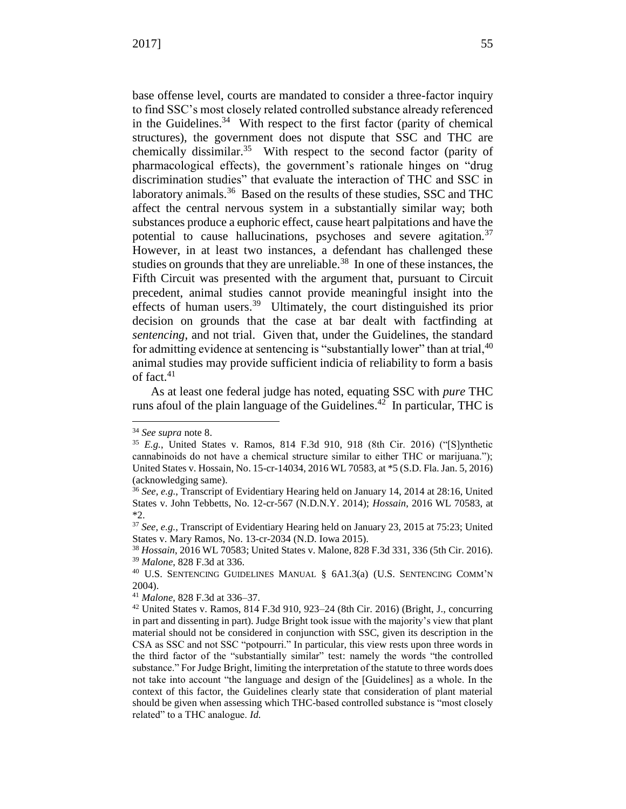base offense level, courts are mandated to consider a three-factor inquiry to find SSC's most closely related controlled substance already referenced in the Guidelines. $34$  With respect to the first factor (parity of chemical structures), the government does not dispute that SSC and THC are chemically dissimilar.<sup>35</sup> With respect to the second factor (parity of pharmacological effects), the government's rationale hinges on "drug discrimination studies" that evaluate the interaction of THC and SSC in laboratory animals.<sup>36</sup> Based on the results of these studies, SSC and THC affect the central nervous system in a substantially similar way; both substances produce a euphoric effect, cause heart palpitations and have the potential to cause hallucinations, psychoses and severe agitation.<sup>37</sup> However, in at least two instances, a defendant has challenged these studies on grounds that they are unreliable. $38$  In one of these instances, the Fifth Circuit was presented with the argument that, pursuant to Circuit precedent, animal studies cannot provide meaningful insight into the effects of human users.<sup>39</sup> Ultimately, the court distinguished its prior decision on grounds that the case at bar dealt with factfinding at *sentencing*, and not trial. Given that, under the Guidelines, the standard for admitting evidence at sentencing is "substantially lower" than at trial,  $40$ animal studies may provide sufficient indicia of reliability to form a basis of fact. $41$ 

As at least one federal judge has noted, equating SSC with *pure* THC runs afoul of the plain language of the Guidelines.<sup>42</sup> In particular, THC is

 $\ddot{\phantom{a}}$ 

<sup>34</sup> *See supra* note [8.](#page-1-0)

<sup>35</sup> *E.g.*, United States v. Ramos, 814 F.3d 910, 918 (8th Cir. 2016) ("[S]ynthetic cannabinoids do not have a chemical structure similar to either THC or marijuana."); United States v. Hossain, No. 15-cr-14034, 2016 WL 70583, at \*5 (S.D. Fla. Jan. 5, 2016) (acknowledging same).

<sup>36</sup> *See, e.g.*, Transcript of Evidentiary Hearing held on January 14, 2014 at 28:16, United States v. John Tebbetts, No. 12-cr-567 (N.D.N.Y. 2014); *Hossain*, 2016 WL 70583, at \*2.

<sup>37</sup> *See, e.g.*, Transcript of Evidentiary Hearing held on January 23, 2015 at 75:23; United States v. Mary Ramos, No. 13-cr-2034 (N.D. Iowa 2015).

<sup>38</sup> *Hossain*, 2016 WL 70583; United States v. Malone, 828 F.3d 331, 336 (5th Cir. 2016). <sup>39</sup> *Malone*, 828 F.3d at 336.

<sup>40</sup> U.S. SENTENCING GUIDELINES MANUAL § 6A1.3(a) (U.S. SENTENCING COMM'N 2004).

<sup>41</sup> *Malone*, 828 F.3d at 336–37.

<sup>42</sup> United States v. Ramos, 814 F.3d 910, 923–24 (8th Cir. 2016) (Bright, J., concurring in part and dissenting in part). Judge Bright took issue with the majority's view that plant material should not be considered in conjunction with SSC, given its description in the CSA as SSC and not SSC "potpourri." In particular, this view rests upon three words in the third factor of the "substantially similar" test: namely the words "the controlled substance." For Judge Bright, limiting the interpretation of the statute to three words does not take into account "the language and design of the [Guidelines] as a whole. In the context of this factor, the Guidelines clearly state that consideration of plant material should be given when assessing which THC-based controlled substance is "most closely related" to a THC analogue. *Id.*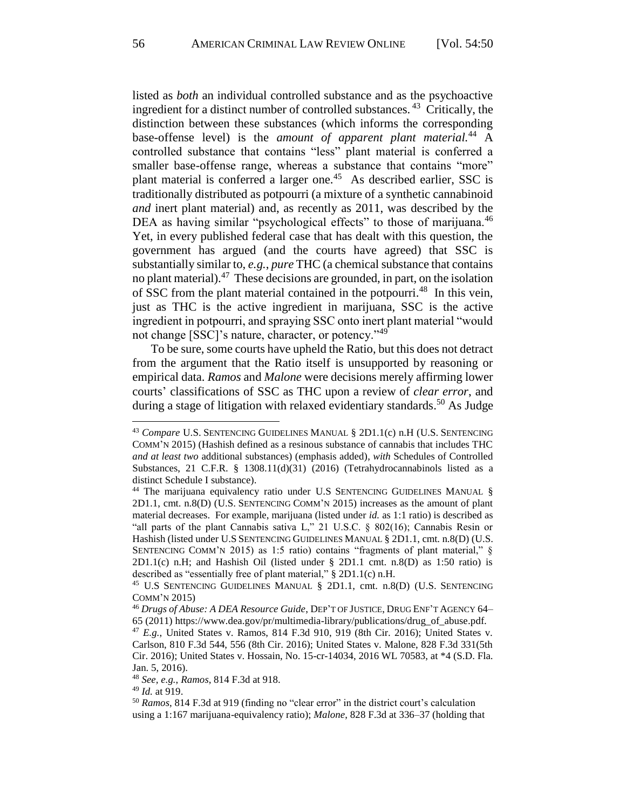listed as *both* an individual controlled substance and as the psychoactive ingredient for a distinct number of controlled substances.<sup>43</sup> Critically, the distinction between these substances (which informs the corresponding base-offense level) is the *amount of apparent plant material.*<sup>44</sup> A controlled substance that contains "less" plant material is conferred a smaller base-offense range, whereas a substance that contains "more" plant material is conferred a larger one.<sup>45</sup> As described earlier, SSC is traditionally distributed as potpourri (a mixture of a synthetic cannabinoid *and* inert plant material) and, as recently as 2011, was described by the DEA as having similar "psychological effects" to those of marijuana.<sup>46</sup> Yet, in every published federal case that has dealt with this question, the government has argued (and the courts have agreed) that SSC is substantially similar to, *e.g.*, *pure* THC (a chemical substance that contains no plant material).<sup>47</sup> These decisions are grounded, in part, on the isolation of SSC from the plant material contained in the potpourri.<sup>48</sup> In this vein, just as THC is the active ingredient in marijuana, SSC is the active ingredient in potpourri, and spraying SSC onto inert plant material "would not change [SSC]'s nature, character, or potency."<sup>49</sup>

To be sure, some courts have upheld the Ratio, but this does not detract from the argument that the Ratio itself is unsupported by reasoning or empirical data. *Ramos* and *Malone* were decisions merely affirming lower courts' classifications of SSC as THC upon a review of *clear error*, and during a stage of litigation with relaxed evidentiary standards.<sup>50</sup> As Judge

<sup>48</sup> *See, e.g.*, *Ramos*, 814 F.3d at 918.

<sup>49</sup> *Id.* at 919.

 $\ddot{\phantom{a}}$ 

<sup>43</sup> *Compare* U.S. SENTENCING GUIDELINES MANUAL § 2D1.1(c) n.H (U.S. SENTENCING COMM'N 2015) (Hashish defined as a resinous substance of cannabis that includes THC *and at least two* additional substances) (emphasis added), *with* Schedules of Controlled Substances, 21 C.F.R. § 1308.11(d)(31) (2016) (Tetrahydrocannabinols listed as a distinct Schedule I substance).

<sup>&</sup>lt;sup>44</sup> The marijuana equivalency ratio under U.S SENTENCING GUIDELINES MANUAL § 2D1.1, cmt. n.8(D) (U.S. SENTENCING COMM'N 2015) increases as the amount of plant material decreases. For example, marijuana (listed under *id.* as 1:1 ratio) is described as "all parts of the plant Cannabis sativa L," 21 U.S.C. § 802(16); Cannabis Resin or Hashish (listed under U.S SENTENCING GUIDELINES MANUAL § 2D1.1, cmt. n.8(D) (U.S. SENTENCING COMM'N 2015) as 1:5 ratio) contains "fragments of plant material," §  $2D1.1(c)$  n.H; and Hashish Oil (listed under § 2D1.1 cmt. n.8(D) as 1:50 ratio) is described as "essentially free of plant material," § 2D1.1(c) n.H.

<sup>45</sup> U.S SENTENCING GUIDELINES MANUAL § 2D1.1, cmt. n.8(D) (U.S. SENTENCING COMM'N 2015)

<sup>46</sup> *Drugs of Abuse: A DEA Resource Guide*, DEP'T OF JUSTICE, DRUG ENF'T AGENCY 64– 65 (2011) https://www.dea.gov/pr/multimedia-library/publications/drug\_of\_abuse.pdf.

<sup>47</sup> *E.g.*, United States v. Ramos, 814 F.3d 910, 919 (8th Cir. 2016); United States v. Carlson, 810 F.3d 544, 556 (8th Cir. 2016); United States v. Malone, 828 F.3d 331(5th Cir. 2016); United States v. Hossain, No. 15-cr-14034, 2016 WL 70583, at \*4 (S.D. Fla. Jan. 5, 2016).

<sup>50</sup> *Ramos*, 814 F.3d at 919 (finding no "clear error" in the district court's calculation using a 1:167 marijuana-equivalency ratio); *Malone*, 828 F.3d at 336–37 (holding that